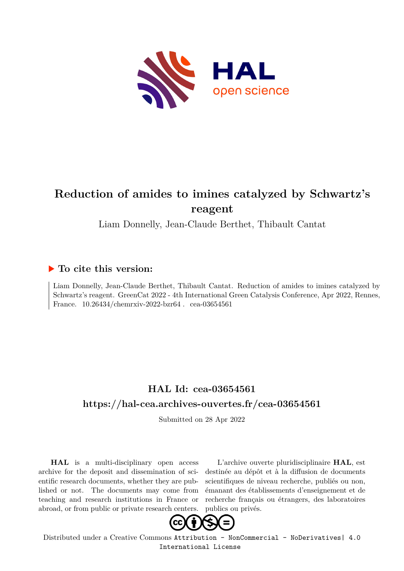

## **Reduction of amides to imines catalyzed by Schwartz's reagent**

Liam Donnelly, Jean-Claude Berthet, Thibault Cantat

## **To cite this version:**

Liam Donnelly, Jean-Claude Berthet, Thibault Cantat. Reduction of amides to imines catalyzed by Schwartz's reagent. GreenCat 2022 - 4th International Green Catalysis Conference, Apr 2022, Rennes, France.  $10.26434$ /chemrxiv-2022-bzr64. cea-03654561

## **HAL Id: cea-03654561 <https://hal-cea.archives-ouvertes.fr/cea-03654561>**

Submitted on 28 Apr 2022

**HAL** is a multi-disciplinary open access archive for the deposit and dissemination of scientific research documents, whether they are published or not. The documents may come from teaching and research institutions in France or abroad, or from public or private research centers.

L'archive ouverte pluridisciplinaire **HAL**, est destinée au dépôt et à la diffusion de documents scientifiques de niveau recherche, publiés ou non, émanant des établissements d'enseignement et de recherche français ou étrangers, des laboratoires publics ou privés.



Distributed under a Creative Commons [Attribution - NonCommercial - NoDerivatives| 4.0](http://creativecommons.org/licenses/by-nc-nd/4.0/) [International License](http://creativecommons.org/licenses/by-nc-nd/4.0/)